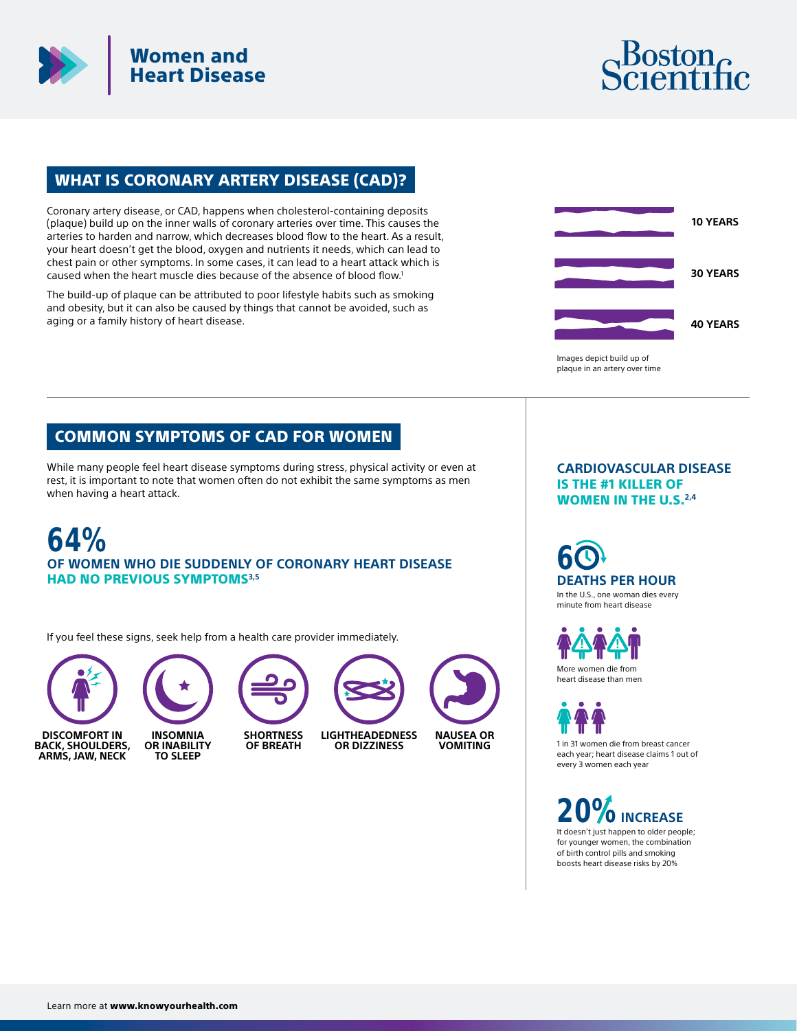



## WHAT IS CORONARY ARTERY DISEASE (CAD)?

Coronary artery disease, or CAD, happens when cholesterol-containing deposits (plaque) build up on the inner walls of coronary arteries over time. This causes the arteries to harden and narrow, which decreases blood flow to the heart. As a result, your heart doesn't get the blood, oxygen and nutrients it needs, which can lead to chest pain or other symptoms. In some cases, it can lead to a heart attack which is caused when the heart muscle dies because of the absence of blood flow.<sup>1</sup>

The build-up of plaque can be attributed to poor lifestyle habits such as smoking and obesity, but it can also be caused by things that cannot be avoided, such as aging or a family history of heart disease.



## COMMON SYMPTOMS OF CAD FOR WOMEN

While many people feel heart disease symptoms during stress, physical activity or even at rest, it is important to note that women often do not exhibit the same symptoms as men when having a heart attack.

**64% OF WOMEN WHO DIE SUDDENLY OF CORONARY HEART DISEASE**  HAD NO PREVIOUS SYMPTOMS**3,5**

**OF BREATH**

If you feel these signs, seek help from a health care provider immediately.





**INSOMNIA OR INABILITY TO SLEEP**



**LIGHTHEADEDNESS OR DIZZINESS**



**CARDIOVASCULAR DISEASE**  IS THE #1 KILLER OF WOMEN IN THE U.S.**2,4**

**6 DEATHS PER HOUR**

In the U.S., one woman dies every minute from heart disease

More women die from

heart disease than men

1 in 31 women die from breast cancer each year; heart disease claims 1 out of every 3 women each year

It doesn't just happen to older people; for younger women, the combination of birth control pills and smoking **20%INCREASE**

boosts heart disease risks by 20%